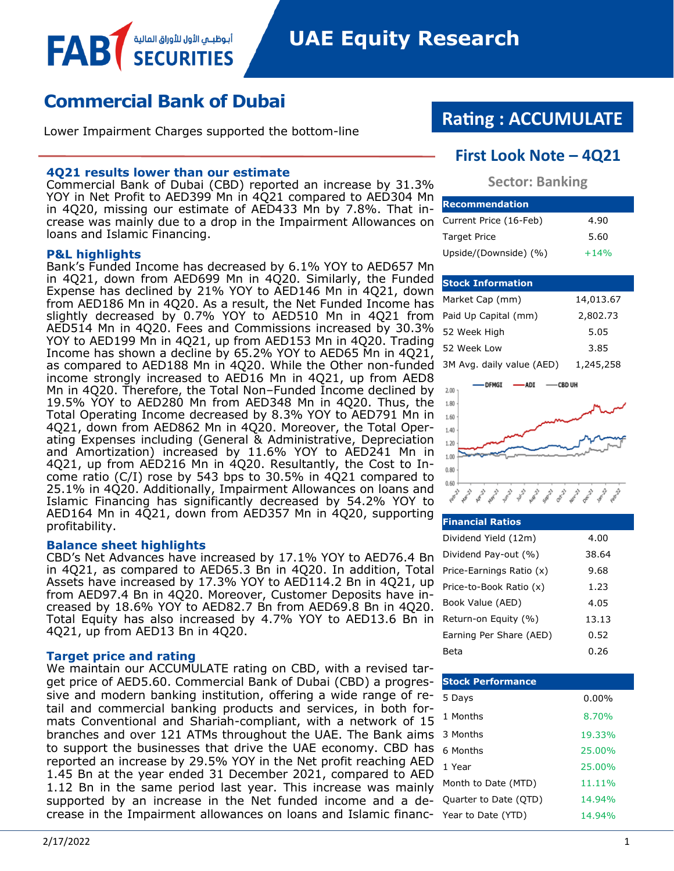# **Commercial Bank of Dubai**

أبوظبــي الأول للأوراق المالية

Lower Impairment Charges supported the bottom-line

#### **4Q21 results lower than our estimate**

Commercial Bank of Dubai (CBD) reported an increase by 31.3% YOY in Net Profit to AED399 Mn in 4Q21 compared to AED304 Mn in 4Q20, missing our estimate of AED433 Mn by 7.8%. That increase was mainly due to a drop in the Impairment Allowances on loans and Islamic Financing.

#### **P&L highlights**

FAB

Bank's Funded Income has decreased by 6.1% YOY to AED657 Mn in  $4Q21$ , down from AED699 Mn in  $4Q20$ . Similarly, the Funded Expense has declined by 21% YOY to AED146 Mn in 4Q21, down from AED186 Mn in 4Q20. As a result, the Net Funded Income has slightly decreased by 0.7% YOY to AED510 Mn in 4Q21 from AED514 Mn in 4Q20. Fees and Commissions increased by 30.3% YOY to AED199 Mn in 4Q21, up from AED153 Mn in 4Q20. Trading Income has shown a decline by 65.2% YOY to AED65 Mn in 4Q21, as compared to AED188 Mn in 4Q20. While the Other non-funded income strongly increased to AED16 Mn in 4Q21, up from AED8 Mn in 4Q20. Therefore, the Total Non–Funded Income declined by 19.5% YOY to AED280 Mn from AED348 Mn in 4Q20. Thus, the Total Operating Income decreased by 8.3% YOY to AED791 Mn in 4Q21, down from AED862 Mn in 4Q20. Moreover, the Total Operating Expenses including (General & Administrative, Depreciation and Amortization) increased by 11.6% YOY to AED241 Mn in 4Q21, up from AED216 Mn in 4Q20. Resultantly, the Cost to Income ratio (C/I) rose by 543 bps to 30.5% in 4Q21 compared to 25.1% in 4Q20. Additionally, Impairment Allowances on loans and Islamic Financing has significantly decreased by 54.2% YOY to AED164 Mn in 4Q21, down from AED357 Mn in 4Q20, supporting profitability.

#### **Balance sheet highlights**

CBD's Net Advances have increased by 17.1% YOY to AED76.4 Bn in 4Q21, as compared to AED65.3 Bn in 4Q20. In addition, Total Assets have increased by 17.3% YOY to AED114.2 Bn in 4Q21, up from AED97.4 Bn in 4Q20. Moreover, Customer Deposits have increased by 18.6% YOY to AED82.7 Bn from AED69.8 Bn in 4Q20. Total Equity has also increased by 4.7% YOY to AED13.6 Bn in 4Q21, up from AED13 Bn in 4Q20.

#### **Target price and rating**

We maintain our ACCUMULATE rating on CBD, with a revised target price of AED5.60. Commercial Bank of Dubai (CBD) a progressive and modern banking institution, offering a wide range of retail and commercial banking products and services, in both formats Conventional and Shariah-compliant, with a network of 15 branches and over 121 ATMs throughout the UAE. The Bank aims to support the businesses that drive the UAE economy. CBD has reported an increase by 29.5% YOY in the Net profit reaching AED 1.45 Bn at the year ended 31 December 2021, compared to AED 1.12 Bn in the same period last year. This increase was mainly supported by an increase in the Net funded income and a decrease in the Impairment allowances on loans and Islamic financ-

# **Rating : ACCUMULATE**

### **First Look Note – 4Q21**

#### **Sector: Banking**

| <b>Recommendation</b>  |        |
|------------------------|--------|
| Current Price (16-Feb) | 4.90   |
| Target Price           | 5.60   |
| Upside/(Downside) (%)  | $+14%$ |

#### **Stock Information**

| Market Cap (mm)           | 14,013.67 |
|---------------------------|-----------|
| Paid Up Capital (mm)      | 2,802.73  |
| 52 Week High              | 5.05      |
| 52 Week Low               | 3.85      |
| 3M Avg. daily value (AED) | 1,245,258 |



| <b>Financial Ratios</b>  |       |
|--------------------------|-------|
| Dividend Yield (12m)     | 4.00  |
| Dividend Pay-out (%)     | 38.64 |
| Price-Earnings Ratio (x) | 9.68  |
| Price-to-Book Ratio (x)  | 1.23  |
| Book Value (AED)         | 4.05  |
| Return-on Equity (%)     | 13.13 |
| Earning Per Share (AED)  | 0.52  |
| Beta                     | 0.26  |

| <b>Stock Performance</b> |          |
|--------------------------|----------|
| 5 Days                   | $0.00\%$ |
| 1 Months                 | 8.70%    |
| 3 Months                 | 19.33%   |
| 6 Months                 | 25.00%   |
| 1 Year                   | 25.00%   |
| Month to Date (MTD)      | 11.11%   |
| Quarter to Date (QTD)    | 14.94%   |
| Year to Date (YTD)       | 14.94%   |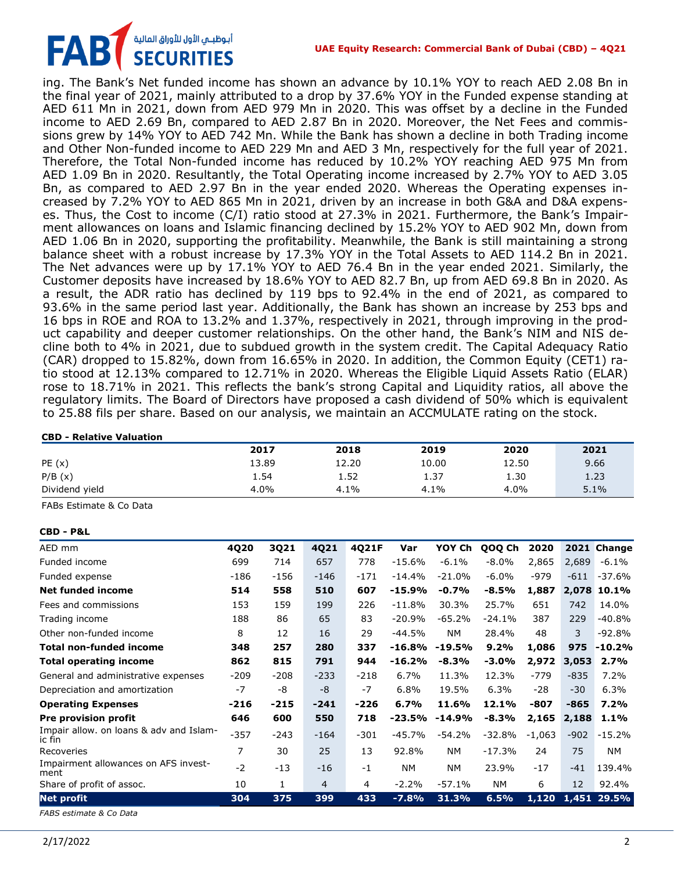#### **UAE Equity Research: Commercial Bank of Dubai (CBD) – 4Q21**

أبوظبـي الأول للأوراق المالية<br>SECURITIES FAB

ing. The Bank's Net funded income has shown an advance by 10.1% YOY to reach AED 2.08 Bn in the final year of 2021, mainly attributed to a drop by 37.6% YOY in the Funded expense standing at AED 611 Mn in 2021, down from AED 979 Mn in 2020. This was offset by a decline in the Funded income to AED 2.69 Bn, compared to AED 2.87 Bn in 2020. Moreover, the Net Fees and commissions grew by 14% YOY to AED 742 Mn. While the Bank has shown a decline in both Trading income and Other Non-funded income to AED 229 Mn and AED 3 Mn, respectively for the full year of 2021. Therefore, the Total Non-funded income has reduced by 10.2% YOY reaching AED 975 Mn from AED 1.09 Bn in 2020. Resultantly, the Total Operating income increased by 2.7% YOY to AED 3.05 Bn, as compared to AED 2.97 Bn in the year ended 2020. Whereas the Operating expenses increased by 7.2% YOY to AED 865 Mn in 2021, driven by an increase in both G&A and D&A expenses. Thus, the Cost to income (C/I) ratio stood at 27.3% in 2021. Furthermore, the Bank's Impairment allowances on loans and Islamic financing declined by 15.2% YOY to AED 902 Mn, down from AED 1.06 Bn in 2020, supporting the profitability. Meanwhile, the Bank is still maintaining a strong balance sheet with a robust increase by 17.3% YOY in the Total Assets to AED 114.2 Bn in 2021. The Net advances were up by 17.1% YOY to AED 76.4 Bn in the year ended 2021. Similarly, the Customer deposits have increased by 18.6% YOY to AED 82.7 Bn, up from AED 69.8 Bn in 2020. As a result, the ADR ratio has declined by 119 bps to 92.4% in the end of 2021, as compared to 93.6% in the same period last year. Additionally, the Bank has shown an increase by 253 bps and 16 bps in ROE and ROA to 13.2% and 1.37%, respectively in 2021, through improving in the product capability and deeper customer relationships. On the other hand, the Bank's NIM and NIS decline both to 4% in 2021, due to subdued growth in the system credit. The Capital Adequacy Ratio (CAR) dropped to 15.82%, down from 16.65% in 2020. In addition, the Common Equity (CET1) ratio stood at 12.13% compared to 12.71% in 2020. Whereas the Eligible Liquid Assets Ratio (ELAR) rose to 18.71% in 2021. This reflects the bank's strong Capital and Liquidity ratios, all above the regulatory limits. The Board of Directors have proposed a cash dividend of 50% which is equivalent to 25.88 fils per share. Based on our analysis, we maintain an ACCMULATE rating on the stock.

#### **CBD - Relative Valuation**

|                | 2017  | 2018  | 2019  | 2020  | 2021 |
|----------------|-------|-------|-------|-------|------|
| PE(x)          | 13.89 | 12.20 | 10.00 | 12.50 | 9.66 |
| P/B(x)         | 1.54  | 1.52  | 1.37  | 1.30  | 1.23 |
| Dividend yield | 4.0%  | 4.1%  | 4.1%  | 4.0%  | 5.1% |

FABs Estimate & Co Data

#### **CBD - P&L**

| AED mm                                            | 4Q20   | 3Q21   | 4Q21   | 4Q21F  | Var       | YOY Ch    | QOQ Ch    | 2020     | 2021   | <b>Change</b> |
|---------------------------------------------------|--------|--------|--------|--------|-----------|-----------|-----------|----------|--------|---------------|
| Funded income                                     | 699    | 714    | 657    | 778    | $-15.6%$  | $-6.1%$   | $-8.0\%$  | 2,865    | 2,689  | $-6.1%$       |
| Funded expense                                    | $-186$ | $-156$ | $-146$ | $-171$ | $-14.4%$  | $-21.0%$  | $-6.0%$   | $-979$   | $-611$ | $-37.6%$      |
| <b>Net funded income</b>                          | 514    | 558    | 510    | 607    | $-15.9%$  | $-0.7%$   | $-8.5%$   | 1,887    | 2,078  | 10.1%         |
| Fees and commissions                              | 153    | 159    | 199    | 226    | $-11.8%$  | 30.3%     | 25.7%     | 651      | 742    | 14.0%         |
| Trading income                                    | 188    | 86     | 65     | 83     | $-20.9%$  | $-65.2%$  | $-24.1%$  | 387      | 229    | $-40.8%$      |
| Other non-funded income                           | 8      | 12     | 16     | 29     | $-44.5%$  | <b>NM</b> | 28.4%     | 48       | 3      | $-92.8%$      |
| <b>Total non-funded income</b>                    | 348    | 257    | 280    | 337    | $-16.8%$  | $-19.5%$  | 9.2%      | 1,086    | 975    | $-10.2%$      |
| <b>Total operating income</b>                     | 862    | 815    | 791    | 944    | $-16.2%$  | $-8.3%$   | $-3.0%$   | 2,972    | 3,053  | 2.7%          |
| General and administrative expenses               | $-209$ | $-208$ | $-233$ | $-218$ | 6.7%      | 11.3%     | 12.3%     | $-779$   | $-835$ | 7.2%          |
| Depreciation and amortization                     | $-7$   | -8     | -8     | $-7$   | 6.8%      | 19.5%     | 6.3%      | $-28$    | $-30$  | 6.3%          |
| <b>Operating Expenses</b>                         | $-216$ | $-215$ | $-241$ | $-226$ | 6.7%      | 11.6%     | 12.1%     | -807     | $-865$ | 7.2%          |
| Pre provision profit                              | 646    | 600    | 550    | 718    | $-23.5%$  | $-14.9%$  | $-8.3%$   | 2,165    | 2,188  | 1.1%          |
| Impair allow. on loans & adv and Islam-<br>ic fin | $-357$ | $-243$ | $-164$ | $-301$ | $-45.7%$  | $-54.2%$  | $-32.8%$  | $-1,063$ | $-902$ | $-15.2%$      |
| Recoveries                                        | 7      | 30     | 25     | 13     | 92.8%     | NΜ        | $-17.3%$  | 24       | 75     | NΜ            |
| Impairment allowances on AFS invest-<br>ment      | $-2$   | $-13$  | $-16$  | $-1$   | <b>NM</b> | <b>NM</b> | 23.9%     | $-17$    | $-41$  | 139.4%        |
| Share of profit of assoc.                         | 10     | 1      | 4      | 4      | $-2.2%$   | $-57.1%$  | <b>NM</b> | 6        | 12     | 92.4%         |
| <b>Net profit</b>                                 | 304    | 375    | 399    | 433    | $-7.8%$   | 31.3%     | 6.5%      | 1,120    |        | 1,451 29.5%   |
| FABS estimate & Co Data                           |        |        |        |        |           |           |           |          |        |               |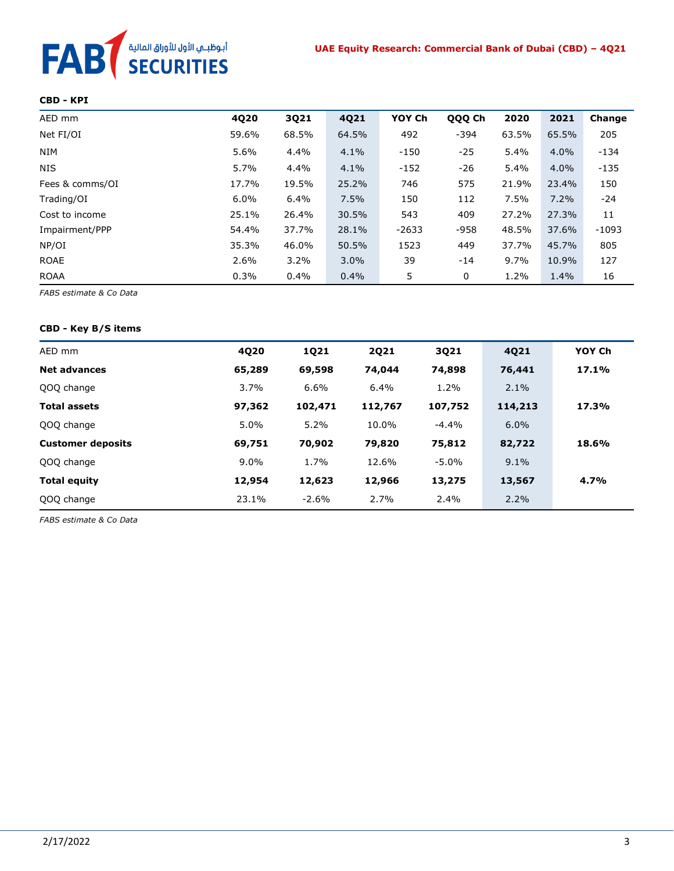# أبوظبـي الأول للأوراق المالية<br>SECURITIES **FAB**

#### **CBD - KPI**

| AED mm          | 4Q20  | 3Q21    | 4Q21  | YOY Ch  | QQQ Ch | 2020  | 2021    | Change  |
|-----------------|-------|---------|-------|---------|--------|-------|---------|---------|
| Net FI/OI       | 59.6% | 68.5%   | 64.5% | 492     | $-394$ | 63.5% | 65.5%   | 205     |
| <b>NIM</b>      | 5.6%  | 4.4%    | 4.1%  | $-150$  | -25    | 5.4%  | $4.0\%$ | $-134$  |
| <b>NIS</b>      | 5.7%  | 4.4%    | 4.1%  | $-152$  | $-26$  | 5.4%  | $4.0\%$ | $-135$  |
| Fees & comms/OI | 17.7% | 19.5%   | 25.2% | 746     | 575    | 21.9% | 23.4%   | 150     |
| Trading/OI      | 6.0%  | 6.4%    | 7.5%  | 150     | 112    | 7.5%  | 7.2%    | $-24$   |
| Cost to income  | 25.1% | 26.4%   | 30.5% | 543     | 409    | 27.2% | 27.3%   | 11      |
| Impairment/PPP  | 54.4% | 37.7%   | 28.1% | $-2633$ | $-958$ | 48.5% | 37.6%   | $-1093$ |
| NP/OI           | 35.3% | 46.0%   | 50.5% | 1523    | 449    | 37.7% | 45.7%   | 805     |
| <b>ROAE</b>     | 2.6%  | $3.2\%$ | 3.0%  | 39      | $-14$  | 9.7%  | 10.9%   | 127     |
| <b>ROAA</b>     | 0.3%  | 0.4%    | 0.4%  | 5       | 0      | 1.2%  | 1.4%    | 16      |

*FABS estimate & Co Data*

#### **CBD - Key B/S items**

| AED mm                   | 4Q20    | 1Q21    | <b>2Q21</b> | 3Q21     | 4Q21    | YOY Ch |
|--------------------------|---------|---------|-------------|----------|---------|--------|
| <b>Net advances</b>      | 65,289  | 69,598  | 74,044      | 74,898   | 76,441  | 17.1%  |
| QOQ change               | 3.7%    | 6.6%    | 6.4%        | 1.2%     | $2.1\%$ |        |
| <b>Total assets</b>      | 97,362  | 102,471 | 112,767     | 107,752  | 114,213 | 17.3%  |
| QOQ change               | 5.0%    | 5.2%    | 10.0%       | $-4.4%$  | 6.0%    |        |
| <b>Customer deposits</b> | 69,751  | 70,902  | 79,820      | 75,812   | 82,722  | 18.6%  |
| QOQ change               | $9.0\%$ | 1.7%    | 12.6%       | $-5.0\%$ | 9.1%    |        |
| <b>Total equity</b>      | 12,954  | 12,623  | 12,966      | 13,275   | 13,567  | 4.7%   |
| QOQ change               | 23.1%   | $-2.6%$ | 2.7%        | 2.4%     | 2.2%    |        |

*FABS estimate & Co Data*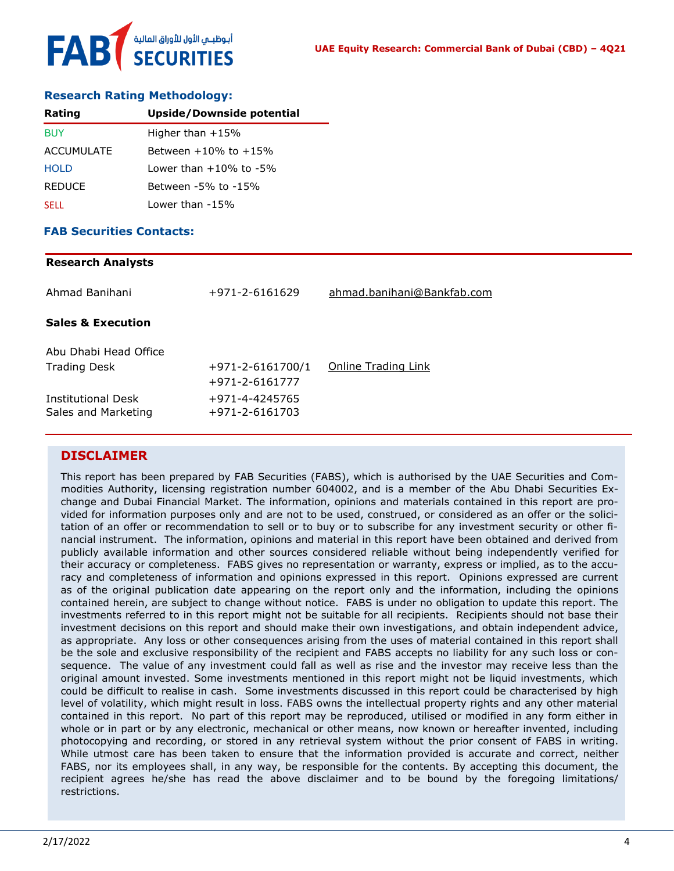#### **Research Rating Methodology:**

| Rating            | Upside/Downside potential       |
|-------------------|---------------------------------|
| <b>BUY</b>        | Higher than $+15%$              |
| <b>ACCUMULATE</b> | Between $+10\%$ to $+15\%$      |
| <b>HOLD</b>       | $1$ ower than $+10\%$ to $-5\%$ |
| <b>REDUCE</b>     | Between -5% to -15%             |
| <b>SELL</b>       | Lower than $-15%$               |

#### **FAB Securities Contacts:**

# **Research Analysts** Ahmad Banihani +971-2-6161629 [ahmad.banihani@Bankfab.com](mailto:ahmad.banihani@Bankfab.com) **Sales & Execution** Abu Dhabi Head Office Trading Desk  $+971-2-6161700/1$  [Online Trading Link](http://www.nbad.com/countries/en-ae/Brokerage/WhatWeOffer/Pages/OnlineTrading.aspx) +971-2-6161777 Institutional Desk +971-4-4245765 Sales and Marketing +971-2-6161703

#### **DISCLAIMER**

This report has been prepared by FAB Securities (FABS), which is authorised by the UAE Securities and Commodities Authority, licensing registration number 604002, and is a member of the Abu Dhabi Securities Exchange and Dubai Financial Market. The information, opinions and materials contained in this report are provided for information purposes only and are not to be used, construed, or considered as an offer or the solicitation of an offer or recommendation to sell or to buy or to subscribe for any investment security or other financial instrument. The information, opinions and material in this report have been obtained and derived from publicly available information and other sources considered reliable without being independently verified for their accuracy or completeness. FABS gives no representation or warranty, express or implied, as to the accuracy and completeness of information and opinions expressed in this report. Opinions expressed are current as of the original publication date appearing on the report only and the information, including the opinions contained herein, are subject to change without notice. FABS is under no obligation to update this report. The investments referred to in this report might not be suitable for all recipients. Recipients should not base their investment decisions on this report and should make their own investigations, and obtain independent advice, as appropriate. Any loss or other consequences arising from the uses of material contained in this report shall be the sole and exclusive responsibility of the recipient and FABS accepts no liability for any such loss or consequence. The value of any investment could fall as well as rise and the investor may receive less than the original amount invested. Some investments mentioned in this report might not be liquid investments, which could be difficult to realise in cash. Some investments discussed in this report could be characterised by high level of volatility, which might result in loss. FABS owns the intellectual property rights and any other material contained in this report. No part of this report may be reproduced, utilised or modified in any form either in whole or in part or by any electronic, mechanical or other means, now known or hereafter invented, including photocopying and recording, or stored in any retrieval system without the prior consent of FABS in writing. While utmost care has been taken to ensure that the information provided is accurate and correct, neither FABS, nor its employees shall, in any way, be responsible for the contents. By accepting this document, the recipient agrees he/she has read the above disclaimer and to be bound by the foregoing limitations/ restrictions.